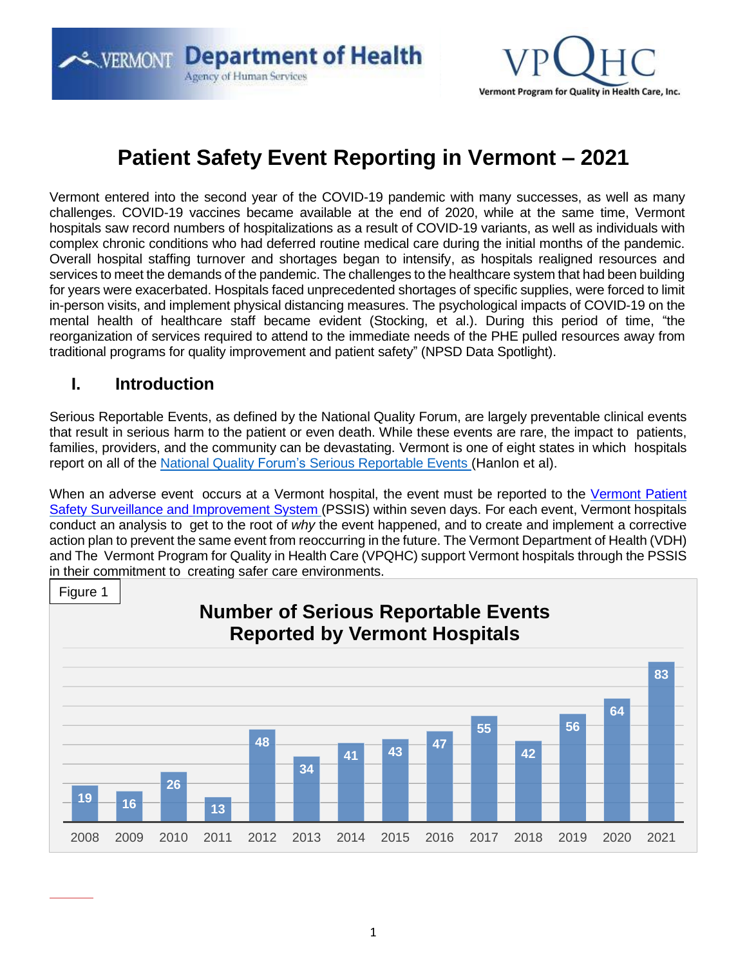**ERMONT Department of Health Agency of Human Services** 



# **Patient Safety Event Reporting in Vermont – 2021**

Vermont entered into the second year of the COVID-19 pandemic with many successes, as well as many challenges. COVID-19 vaccines became available at the end of 2020, while at the same time, Vermont hospitals saw record numbers of hospitalizations as a result of COVID-19 variants, as well as individuals with complex chronic conditions who had deferred routine medical care during the initial months of the pandemic. Overall hospital staffing turnover and shortages began to intensify, as hospitals realigned resources and services to meet the demands of the pandemic. The challenges to the healthcare system that had been building for years were exacerbated. Hospitals faced unprecedented shortages of specific supplies, were forced to limit in-person visits, and implement physical distancing measures. The psychological impacts of COVID-19 on the mental health of healthcare staff became evident (Stocking, et al.). During this period of time, "the reorganization of services required to attend to the immediate needs of the PHE pulled resources away from traditional programs for quality improvement and patient safety" (NPSD Data Spotlight).

#### **I. Introduction**

Serious Reportable Events, as defined by the National Quality Forum, are largely preventable clinical events that result in serious harm to the patient or even death. While these events are rare, the impact to patients, families, providers, and the community can be devastating. Vermont is one of eight states in which hospitals report on all of the National Quality Forum's [Serious Reportable](http://www.qualityforum.org/Topics/SREs/List_of_SREs.aspx) Events (Hanlon et al).

When an adverse event occurs at a [Vermont](http://www.healthvermont.gov/health-professionals-systems/hospitals-health-systems/patient-safety) hospital, the event must be reported to the Vermont Patient Safety Surveillance and [Improvement](http://www.healthvermont.gov/health-professionals-systems/hospitals-health-systems/patient-safety) System (PSSIS) within seven days. For each event, Vermont hospitals conduct an analysis to get to the root of *why* the event happened, and to create and implement a corrective action plan to prevent the same event from reoccurring in the future. The Vermont Department of Health (VDH) and The Vermont Program for Quality in Health Care (VPQHC) support Vermont hospitals through the PSSIS in their commitment to creating safer care environments.

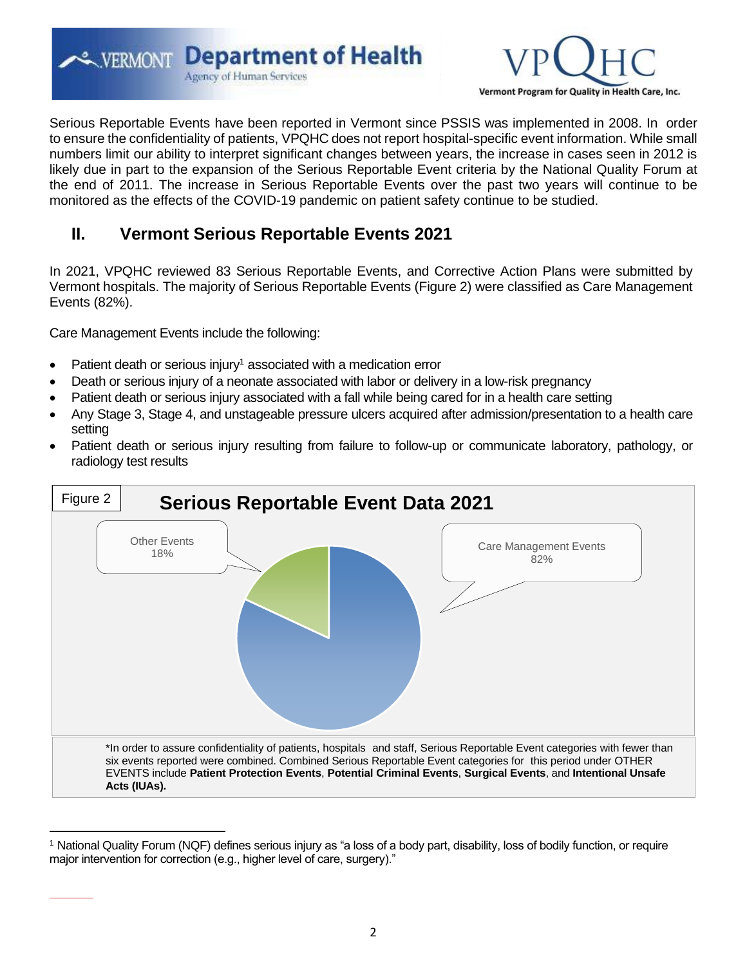**EXPERMONT Department of Health Agency of Human Services** 



Serious Reportable Events have been reported in Vermont since PSSIS was implemented in 2008. In order to ensure the confidentiality of patients, VPQHC does not report hospital-specific event information. While small numbers limit our ability to interpret significant changes between years, the increase in cases seen in 2012 is likely due in part to the expansion of the Serious Reportable Event criteria by the National Quality Forum at the end of 2011. The increase in Serious Reportable Events over the past two years will continue to be monitored as the effects of the COVID-19 pandemic on patient safety continue to be studied.

### **II. Vermont Serious Reportable Events 2021**

In 2021, VPQHC reviewed 83 Serious Reportable Events, and Corrective Action Plans were submitted by Vermont hospitals. The majority of Serious Reportable Events (Figure 2) were classified as Care Management Events (82%).

Care Management Events include the following:

- Patient death or serious injury<sup>1</sup> associated with a medication error
- Death or serious injury of a neonate associated with labor or delivery in a low-risk pregnancy
- Patient death or serious injury associated with a fall while being cared for in a health care setting
- Any Stage 3, Stage 4, and unstageable pressure ulcers acquired after admission/presentation to a health care setting
- Patient death or serious injury resulting from failure to follow-up or communicate laboratory, pathology, or radiology test results



<sup>1</sup> National Quality Forum (NQF) defines serious injury as "a loss of a body part, disability, loss of bodily function, or require major intervention for correction (e.g., higher level of care, surgery)."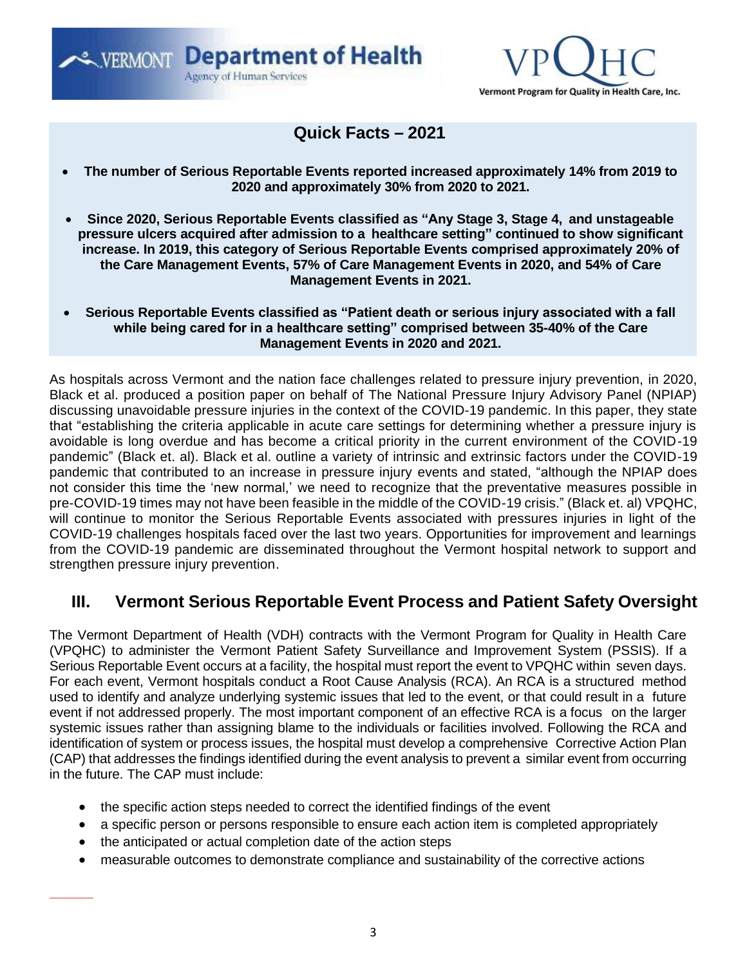**ERMONT Department of Health Agency of Human Services** 



#### **Quick Facts – 2021**

- **The number of Serious Reportable Events reported increased approximately 14% from 2019 to 2020 and approximately 30% from 2020 to 2021.**
- **Since 2020, Serious Reportable Events classified as "Any Stage 3, Stage 4, and unstageable pressure ulcers acquired after admission to a healthcare setting" continued to show significant increase. In 2019, this category of Serious Reportable Events comprised approximately 20% of the Care Management Events, 57% of Care Management Events in 2020, and 54% of Care Management Events in 2021.**
- **Serious Reportable Events classified as "Patient death or serious injury associated with a fall while being cared for in a healthcare setting" comprised between 35-40% of the Care Management Events in 2020 and 2021.**

As hospitals across Vermont and the nation face challenges related to pressure injury prevention, in 2020, Black et al. produced a position paper on behalf of The National Pressure Injury Advisory Panel (NPIAP) discussing unavoidable pressure injuries in the context of the COVID-19 pandemic. In this paper, they state that "establishing the criteria applicable in acute care settings for determining whether a pressure injury is avoidable is long overdue and has become a critical priority in the current environment of the COVID-19 pandemic" (Black et. al). Black et al. outline a variety of intrinsic and extrinsic factors under the COVID-19 pandemic that contributed to an increase in pressure injury events and stated, "although the NPIAP does not consider this time the 'new normal,' we need to recognize that the preventative measures possible in pre-COVID-19 times may not have been feasible in the middle of the COVID-19 crisis." (Black et. al) VPQHC, will continue to monitor the Serious Reportable Events associated with pressures injuries in light of the COVID-19 challenges hospitals faced over the last two years. Opportunities for improvement and learnings from the COVID-19 pandemic are disseminated throughout the Vermont hospital network to support and strengthen pressure injury prevention.

#### **III. Vermont Serious Reportable Event Process and Patient Safety Oversight**

The Vermont Department of Health (VDH) contracts with the Vermont Program for Quality in Health Care (VPQHC) to administer the Vermont Patient Safety Surveillance and Improvement System (PSSIS). If a Serious Reportable Event occurs at a facility, the hospital must report the event to VPQHC within seven days. For each event, Vermont hospitals conduct a Root Cause Analysis (RCA). An RCA is a structured method used to identify and analyze underlying systemic issues that led to the event, or that could result in a future event if not addressed properly. The most important component of an effective RCA is a focus on the larger systemic issues rather than assigning blame to the individuals or facilities involved. Following the RCA and identification of system or process issues, the hospital must develop a comprehensive Corrective Action Plan (CAP) that addresses the findings identified during the event analysis to prevent a similar event from occurring in the future. The CAP must include:

- the specific action steps needed to correct the identified findings of the event
- a specific person or persons responsible to ensure each action item is completed appropriately
- the anticipated or actual completion date of the action steps
- measurable outcomes to demonstrate compliance and sustainability of the corrective actions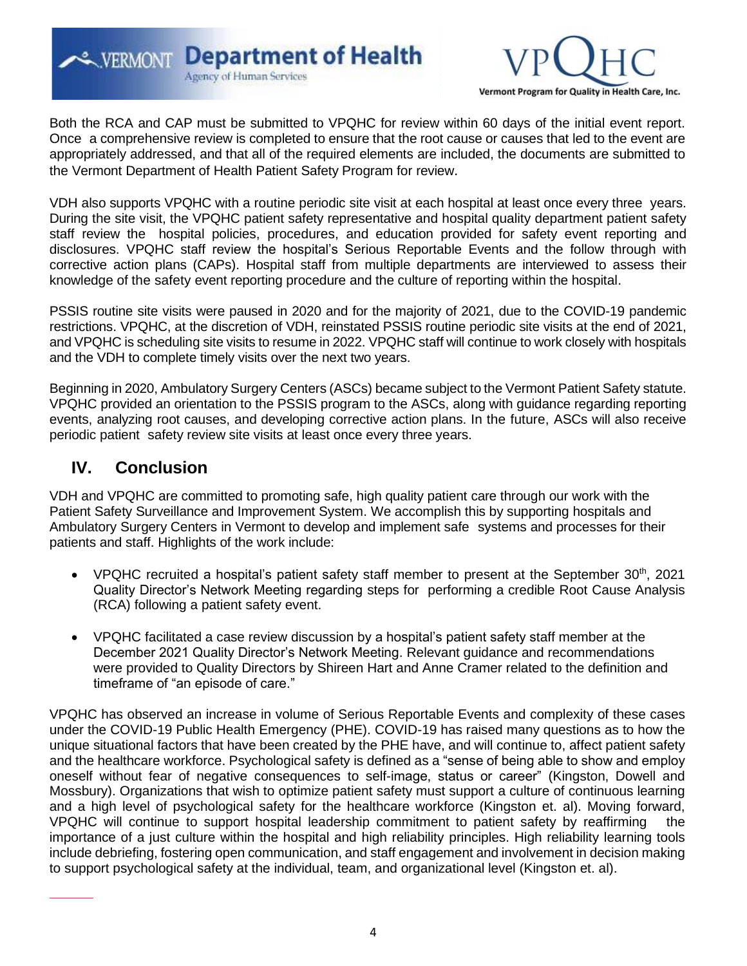**ERMONT Department of Health** Agency of Human Services



Both the RCA and CAP must be submitted to VPQHC for review within 60 days of the initial event report. Once a comprehensive review is completed to ensure that the root cause or causes that led to the event are appropriately addressed, and that all of the required elements are included, the documents are submitted to the Vermont Department of Health Patient Safety Program for review.

VDH also supports VPQHC with a routine periodic site visit at each hospital at least once every three years. During the site visit, the VPQHC patient safety representative and hospital quality department patient safety staff review the hospital policies, procedures, and education provided for safety event reporting and disclosures. VPQHC staff review the hospital's Serious Reportable Events and the follow through with corrective action plans (CAPs). Hospital staff from multiple departments are interviewed to assess their knowledge of the safety event reporting procedure and the culture of reporting within the hospital.

PSSIS routine site visits were paused in 2020 and for the majority of 2021, due to the COVID-19 pandemic restrictions. VPQHC, at the discretion of VDH, reinstated PSSIS routine periodic site visits at the end of 2021, and VPQHC is scheduling site visits to resume in 2022. VPQHC staff will continue to work closely with hospitals and the VDH to complete timely visits over the next two years.

Beginning in 2020, Ambulatory Surgery Centers (ASCs) became subject to the Vermont Patient Safety statute. VPQHC provided an orientation to the PSSIS program to the ASCs, along with guidance regarding reporting events, analyzing root causes, and developing corrective action plans. In the future, ASCs will also receive periodic patient safety review site visits at least once every three years.

## **IV. Conclusion**

VDH and VPQHC are committed to promoting safe, high quality patient care through our work with the Patient Safety Surveillance and Improvement System. We accomplish this by supporting hospitals and Ambulatory Surgery Centers in Vermont to develop and implement safe systems and processes for their patients and staff. Highlights of the work include:

- VPQHC recruited a hospital's patient safety staff member to present at the September  $30<sup>th</sup>$ , 2021 Quality Director's Network Meeting regarding steps for performing a credible Root Cause Analysis (RCA) following a patient safety event.
- VPQHC facilitated a case review discussion by a hospital's patient safety staff member at the December 2021 Quality Director's Network Meeting. Relevant guidance and recommendations were provided to Quality Directors by Shireen Hart and Anne Cramer related to the definition and timeframe of "an episode of care."

VPQHC has observed an increase in volume of Serious Reportable Events and complexity of these cases under the COVID-19 Public Health Emergency (PHE). COVID-19 has raised many questions as to how the unique situational factors that have been created by the PHE have, and will continue to, affect patient safety and the healthcare workforce. Psychological safety is defined as a "sense of being able to show and employ oneself without fear of negative consequences to self-image, status or career" (Kingston, Dowell and Mossbury). Organizations that wish to optimize patient safety must support a culture of continuous learning and a high level of psychological safety for the healthcare workforce (Kingston et. al). Moving forward, VPQHC will continue to support hospital leadership commitment to patient safety by reaffirming the importance of a just culture within the hospital and high reliability principles. High reliability learning tools include debriefing, fostering open communication, and staff engagement and involvement in decision making to support psychological safety at the individual, team, and organizational level (Kingston et. al).